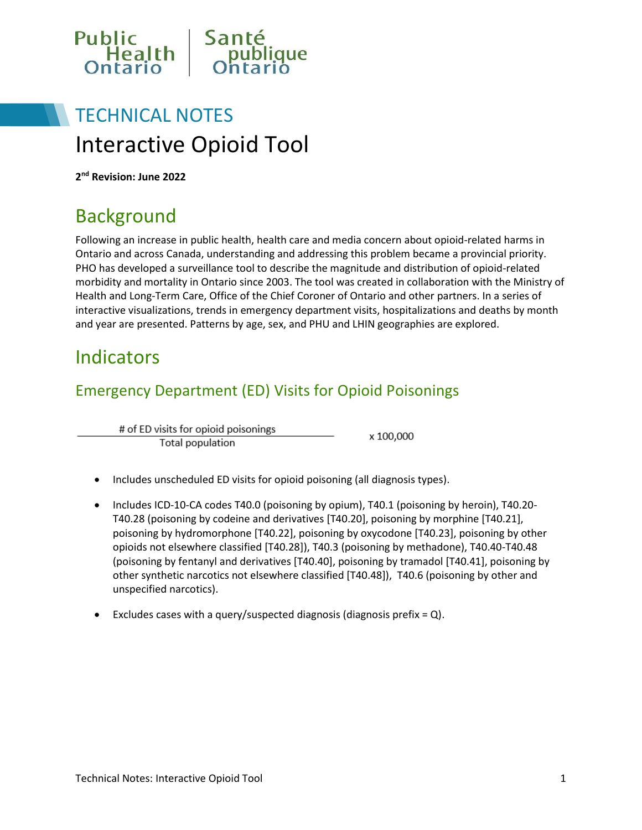

# TECHNICAL NOTES Interactive Opioid Tool

**2 nd Revision: June 2022**

## **Background**

Following an increase in public health, health care and media concern about opioid-related harms in Ontario and across Canada, understanding and addressing this problem became a provincial priority. PHO has developed a surveillance tool to describe the magnitude and distribution of opioid-related morbidity and mortality in Ontario since 2003. The tool was created in collaboration with the Ministry of Health and Long-Term Care, Office of the Chief Coroner of Ontario and other partners. In a series of interactive visualizations, trends in emergency department visits, hospitalizations and deaths by month and year are presented. Patterns by age, sex, and PHU and LHIN geographies are explored.

### Indicators

### Emergency Department (ED) Visits for Opioid Poisonings

# of ED visits for opioid poisonings Total population

x 100,000

- Includes unscheduled ED visits for opioid poisoning (all diagnosis types).
- Includes ICD-10-CA codes T40.0 (poisoning by opium), T40.1 (poisoning by heroin), T40.20- T40.28 (poisoning by codeine and derivatives [T40.20], poisoning by morphine [T40.21], poisoning by hydromorphone [T40.22], poisoning by oxycodone [T40.23], poisoning by other opioids not elsewhere classified [T40.28]), T40.3 (poisoning by methadone), T40.40-T40.48 (poisoning by fentanyl and derivatives [T40.40], poisoning by tramadol [T40.41], poisoning by other synthetic narcotics not elsewhere classified [T40.48]), T40.6 (poisoning by other and unspecified narcotics).
- Excludes cases with a query/suspected diagnosis (diagnosis prefix =  $Q$ ).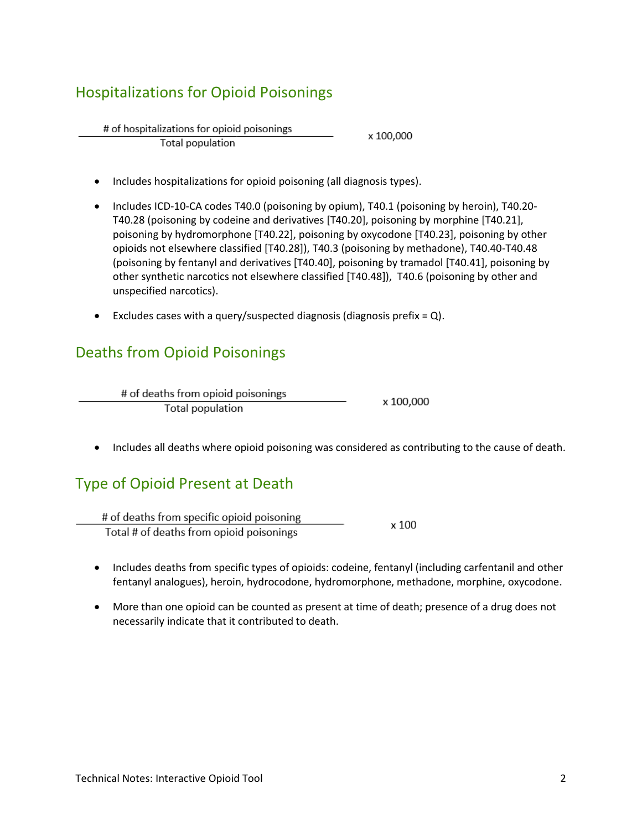### Hospitalizations for Opioid Poisonings

# of hospitalizations for opioid poisonings x 100,000 **Total population** 

- Includes hospitalizations for opioid poisoning (all diagnosis types).
- Includes ICD-10-CA codes T40.0 (poisoning by opium), T40.1 (poisoning by heroin), T40.20-T40.28 (poisoning by codeine and derivatives [T40.20], poisoning by morphine [T40.21], poisoning by hydromorphone [T40.22], poisoning by oxycodone [T40.23], poisoning by other opioids not elsewhere classified [T40.28]), T40.3 (poisoning by methadone), T40.40-T40.48 (poisoning by fentanyl and derivatives [T40.40], poisoning by tramadol [T40.41], poisoning by other synthetic narcotics not elsewhere classified [T40.48]), T40.6 (poisoning by other and unspecified narcotics).
- Excludes cases with a query/suspected diagnosis (diagnosis prefix =  $Q$ ).

### Deaths from Opioid Poisonings

| # of deaths from opioid poisonings | x 100,000 |
|------------------------------------|-----------|
| Total population                   |           |

Includes all deaths where opioid poisoning was considered as contributing to the cause of death.

### Type of Opioid Present at Death

# of deaths from specific opioid poisoning x 100 Total # of deaths from opioid poisonings

- Includes deaths from specific types of opioids: codeine, fentanyl (including carfentanil and other fentanyl analogues), heroin, hydrocodone, hydromorphone, methadone, morphine, oxycodone.
- More than one opioid can be counted as present at time of death; presence of a drug does not necessarily indicate that it contributed to death.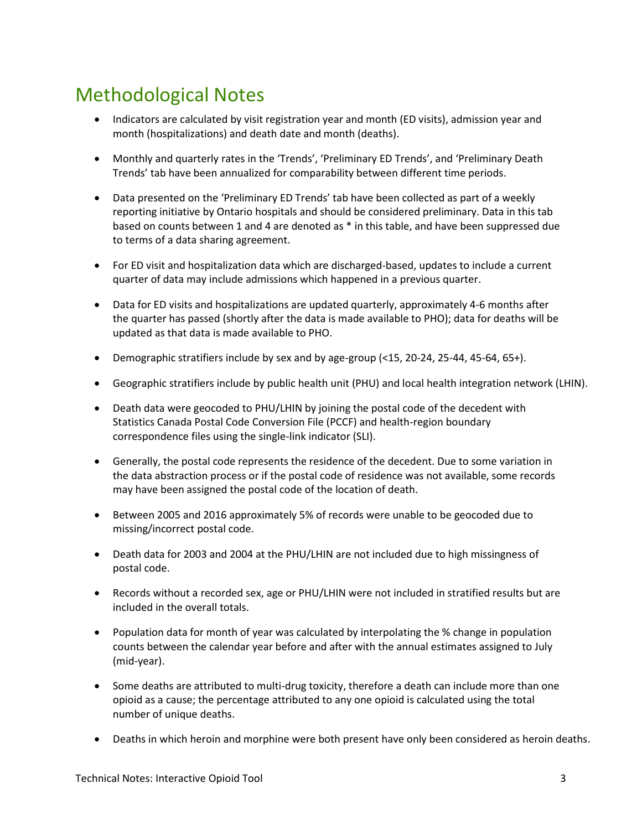# Methodological Notes

- Indicators are calculated by visit registration year and month (ED visits), admission year and month (hospitalizations) and death date and month (deaths).
- Monthly and quarterly rates in the 'Trends', 'Preliminary ED Trends', and 'Preliminary Death Trends' tab have been annualized for comparability between different time periods.
- Data presented on the 'Preliminary ED Trends' tab have been collected as part of a weekly reporting initiative by Ontario hospitals and should be considered preliminary. Data in this tab based on counts between 1 and 4 are denoted as \* in this table, and have been suppressed due to terms of a data sharing agreement.
- For ED visit and hospitalization data which are discharged-based, updates to include a current quarter of data may include admissions which happened in a previous quarter.
- Data for ED visits and hospitalizations are updated quarterly, approximately 4-6 months after the quarter has passed (shortly after the data is made available to PHO); data for deaths will be updated as that data is made available to PHO.
- Demographic stratifiers include by sex and by age-group (<15, 20-24, 25-44, 45-64, 65+).
- Geographic stratifiers include by public health unit (PHU) and local health integration network (LHIN).
- Death data were geocoded to PHU/LHIN by joining the postal code of the decedent with Statistics Canada Postal Code Conversion File (PCCF) and health-region boundary correspondence files using the single-link indicator (SLI).
- Generally, the postal code represents the residence of the decedent. Due to some variation in the data abstraction process or if the postal code of residence was not available, some records may have been assigned the postal code of the location of death.
- Between 2005 and 2016 approximately 5% of records were unable to be geocoded due to missing/incorrect postal code.
- Death data for 2003 and 2004 at the PHU/LHIN are not included due to high missingness of postal code.
- Records without a recorded sex, age or PHU/LHIN were not included in stratified results but are included in the overall totals.
- Population data for month of year was calculated by interpolating the % change in population counts between the calendar year before and after with the annual estimates assigned to July (mid-year).
- Some deaths are attributed to multi-drug toxicity, therefore a death can include more than one opioid as a cause; the percentage attributed to any one opioid is calculated using the total number of unique deaths.
- Deaths in which heroin and morphine were both present have only been considered as heroin deaths.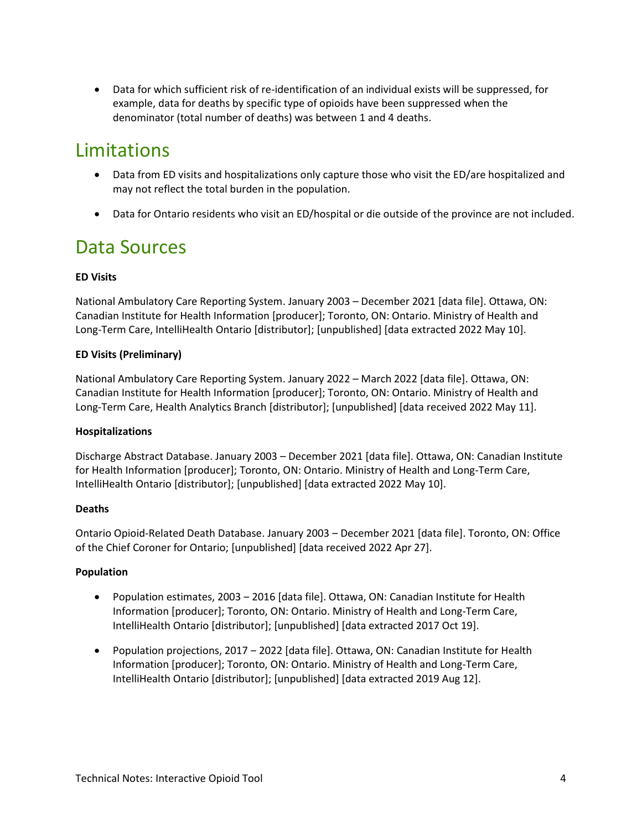Data for which sufficient risk of re-identification of an individual exists will be suppressed, for example, data for deaths by specific type of opioids have been suppressed when the denominator (total number of deaths) was between 1 and 4 deaths.

## Limitations

- Data from ED visits and hospitalizations only capture those who visit the ED/are hospitalized and may not reflect the total burden in the population.
- Data for Ontario residents who visit an ED/hospital or die outside of the province are not included.

## Data Sources

#### **ED Visits**

National Ambulatory Care Reporting System. January 2003 – December 2021 [data file]. Ottawa, ON: Canadian Institute for Health Information [producer]; Toronto, ON: Ontario. Ministry of Health and Long-Term Care, IntelliHealth Ontario [distributor]; [unpublished] [data extracted 2022 May 10].

#### **ED Visits (Preliminary)**

National Ambulatory Care Reporting System. January 2022 – March 2022 [data file]. Ottawa, ON: Canadian Institute for Health Information [producer]; Toronto, ON: Ontario. Ministry of Health and Long-Term Care, Health Analytics Branch [distributor]; [unpublished] [data received 2022 May 11].

#### **Hospitalizations**

Discharge Abstract Database. January 2003 – December 2021 [data file]. Ottawa, ON: Canadian Institute for Health Information [producer]; Toronto, ON: Ontario. Ministry of Health and Long-Term Care, IntelliHealth Ontario [distributor]; [unpublished] [data extracted 2022 May 10].

#### **Deaths**

Ontario Opioid-Related Death Database. January 2003 ‒ December 2021 [data file]. Toronto, ON: Office of the Chief Coroner for Ontario; [unpublished] [data received 2022 Apr 27].

#### **Population**

- Population estimates, 2003 ‒ 2016 [data file]. Ottawa, ON: Canadian Institute for Health Information [producer]; Toronto, ON: Ontario. Ministry of Health and Long-Term Care, IntelliHealth Ontario [distributor]; [unpublished] [data extracted 2017 Oct 19].
- Population projections, 2017 2022 [data file]. Ottawa, ON: Canadian Institute for Health Information [producer]; Toronto, ON: Ontario. Ministry of Health and Long-Term Care, IntelliHealth Ontario [distributor]; [unpublished] [data extracted 2019 Aug 12].